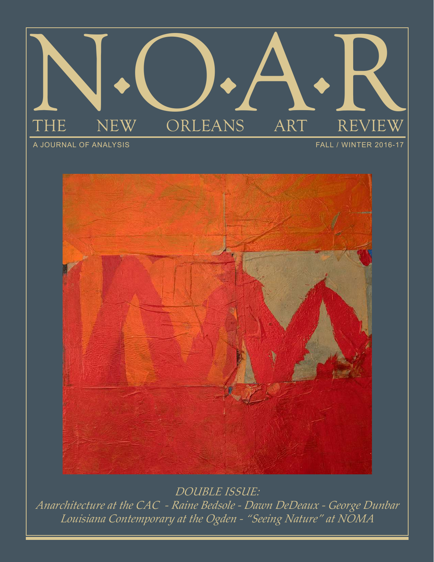

A JOURNAL OF ANALYSIS

FALL / WINTER 2016-17



*DOUBLE ISSUE: Anarchitecture at the CAC - Raine Bedsole - Dawn DeDeaux - George Dunbar Louisiana Contemporary at the Ogden - "Seeing Nature" at NOMA*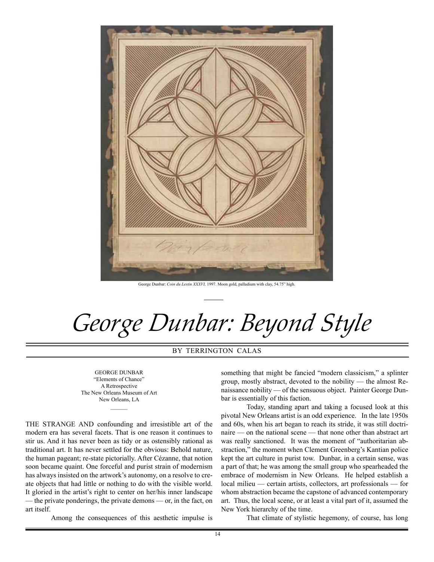

George Dunbar: *Coin du Lestin XXXVI,* 1997. Moon gold, palladium with clay, 54.75" high.

*George Dunbar: Beyond Style*

BY TERRINGTON CALAS

GEORGE DUNBAR "Elements of Chance" A Retrospective The New Orleans Museum of Art New Orleans, LA

 $\mathcal{L}$ 

THE STRANGE AND confounding and irresistible art of the modern era has several facets. That is one reason it continues to stir us. And it has never been as tidy or as ostensibly rational as traditional art. It has never settled for the obvious: Behold nature, the human pageant; re-state pictorially. After Cézanne, that notion soon became quaint. One forceful and purist strain of modernism has always insisted on the artwork's autonomy, on a resolve to create objects that had little or nothing to do with the visible world. It gloried in the artist's right to center on her/his inner landscape — the private ponderings, the private demons — or, in the fact, on art itself.

Among the consequences of this aesthetic impulse is

something that might be fancied "modern classicism," a splinter group, mostly abstract, devoted to the nobility — the almost Renaissance nobility — of the sensuous object. Painter George Dunbar is essentially of this faction.

Today, standing apart and taking a focused look at this pivotal New Orleans artist is an odd experience. In the late 1950s and 60s, when his art began to reach its stride, it was still doctrinaire — on the national scene — that none other than abstract art was really sanctioned. It was the moment of "authoritarian abstraction," the moment when Clement Greenberg's Kantian police kept the art culture in purist tow. Dunbar, in a certain sense, was a part of that; he was among the small group who spearheaded the embrace of modernism in New Orleans. He helped establish a local milieu — certain artists, collectors, art professionals — for whom abstraction became the capstone of advanced contemporary art. Thus, the local scene, or at least a vital part of it, assumed the New York hierarchy of the time.

That climate of stylistic hegemony, of course, has long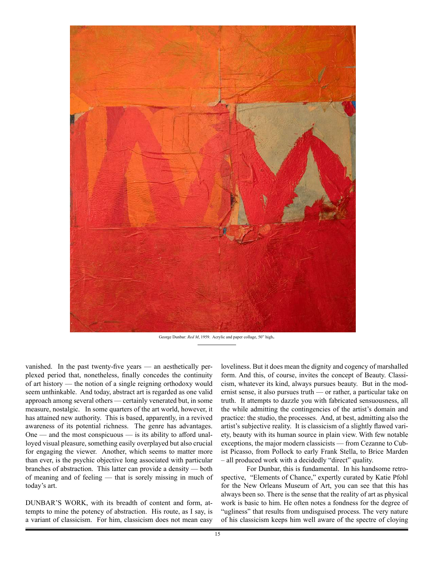

George Dunbar: *Red M*, 1959. Acrylic and paper collage, 50" high.

vanished. In the past twenty-five years — an aesthetically perplexed period that, nonetheless, finally concedes the continuity of art history — the notion of a single reigning orthodoxy would seem unthinkable. And today, abstract art is regarded as one valid approach among several others — certainly venerated but, in some measure, nostalgic. In some quarters of the art world, however, it has attained new authority. This is based, apparently, in a revived awareness of its potential richness. The genre has advantages. One — and the most conspicuous — is its ability to afford unalloyed visual pleasure, something easily overplayed but also crucial for engaging the viewer. Another, which seems to matter more than ever, is the psychic objective long associated with particular branches of abstraction. This latter can provide a density — both of meaning and of feeling — that is sorely missing in much of today's art.

DUNBAR'S WORK, with its breadth of content and form, attempts to mine the potency of abstraction. His route, as I say, is a variant of classicism. For him, classicism does not mean easy

loveliness. But it does mean the dignity and cogency of marshalled form. And this, of course, invites the concept of Beauty. Classicism, whatever its kind, always pursues beauty. But in the modernist sense, it also pursues truth — or rather, a particular take on truth. It attempts to dazzle you with fabricated sensuousness, all the while admitting the contingencies of the artist's domain and practice: the studio, the processes. And, at best, admitting also the artist's subjective reality. It is classicism of a slightly flawed variety, beauty with its human source in plain view. With few notable exceptions, the major modern classicists — from Cezanne to Cubist Picasso, from Pollock to early Frank Stella, to Brice Marden – all produced work with a decidedly "direct" quality.

For Dunbar, this is fundamental. In his handsome retrospective, "Elements of Chance," expertly curated by Katie Pfohl for the New Orleans Museum of Art, you can see that this has always been so. There is the sense that the reality of art as physical work is basic to him. He often notes a fondness for the degree of "ugliness" that results from undisguised process. The very nature of his classicism keeps him well aware of the spectre of cloying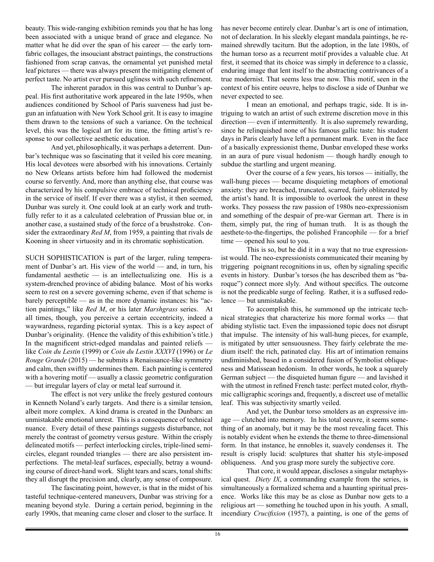beauty. This wide-ranging exhibition reminds you that he has long been associated with a unique brand of grace and elegance. No matter what he did over the span of his career — the early tornfabric collages, the insouciant abstract paintings, the constructions fashioned from scrap canvas, the ornamental yet punished metal leaf pictures — there was always present the mitigating element of perfect taste. No artist ever pursued ugliness with such refinement.

The inherent paradox in this was central to Dunbar's appeal. His first authoritative work appeared in the late 1950s, when audiences conditioned by School of Paris suaveness had just begun an infatuation with New York School grit. It is easy to imagine them drawn to the tensions of such a variance. On the technical level, this was the logical art for its time, the fitting artist's response to our collective aesthetic education.

And yet, philosophically, it was perhaps a deterrent. Dunbar's technique was so fascinating that it veiled his core meaning. His local devotees were absorbed with his innovations. Certainly no New Orleans artists before him had followed the modernist course so fervently. And, more than anything else, that course was characterized by his compulsive embrace of technical proficiency in the service of itself. If ever there was a stylist, it then seemed, Dunbar was surely it. One could look at an early work and truthfully refer to it as a calculated celebration of Prussian blue or, in another case, a sustained study of the force of a brushstroke. Consider the extraordinary *Red M*, from 1959, a painting that rivals de Kooning in sheer virtuosity and in its chromatic sophistication.

SUCH SOPHISTICATION is part of the larger, ruling temperament of Dunbar's art. His view of the world — and, in turn, his fundamental aesthetic  $-$  is an intellectualizing one. His is a system-drenched province of abiding balance. Most of his works seem to rest on a severe governing scheme, even if that scheme is barely perceptible — as in the more dynamic instances: his "action paintings," like *Red M*, or his later *Marshgrass* series. At all times, though, you perceive a certain eccentricity, indeed a waywardness, regarding pictorial syntax. This is a key aspect of Dunbar's originality. (Hence the validity of this exhibition's title.) In the magnificent strict-edged mandalas and painted reliefs like *Coin du Lestin* (1999) or *Coin du Lestin XXXVI* (1996) or *Le Rouge Grande* (2015) — he submits a Renaissance-like symmetry and calm, then swiftly undermines them. Each painting is centered with a hovering motif — usually a classic geometric configuration — but irregular layers of clay or metal leaf surround it.

The effect is not very unlike the freely gestured contours in Kenneth Noland's early targets. And there is a similar tension, albeit more complex. A kind drama is created in the Dunbars: an unmistakable emotional unrest. This is a consequence of technical nuance. Every detail of these paintings suggests disturbance, not merely the contrast of geometry versus gesture. Within the crisply delineated motifs — perfect interlocking circles, triple-lined semicircles, elegant rounded triangles — there are also persistent imperfections. The metal-leaf surfaces, especially, betray a wounding course of direct-hand work. Slight tears and scars, tonal shifts: they all disrupt the precision and, clearly, any sense of composure.

The fascinating point, however, is that in the midst of his tasteful technique-centered maneuvers, Dunbar was striving for a meaning beyond style. During a certain period, beginning in the early 1990s, that meaning came closer and closer to the surface. It

has never become entirely clear. Dunbar's art is one of intimation, not of declaration. In his sleekly elegant mandala paintings, he remained shrewdly taciturn. But the adoption, in the late 1980s, of the human torso as a recurrent motif provides a valuable clue. At first, it seemed that its choice was simply in deference to a classic, enduring image that lent itself to the abstracting contrivances of a true modernist. That seems less true now. This motif, seen in the context of his entire oeuvre, helps to disclose a side of Dunbar we never expected to see.

I mean an emotional, and perhaps tragic, side. It is intriguing to watch an artist of such extreme discretion move in this direction — even if intermittently. It is also supremely rewarding, since he relinquished none of his famous gallic taste: his student days in Paris clearly have left a permanent mark. Even in the face of a basically expressionist theme, Dunbar enveloped these works in an aura of pure visual hedonism — though hardly enough to subdue the startling and urgent meaning.

Over the course of a few years, his torsos — initially, the wall-hung pieces — became disquieting metaphors of emotional anxiety: they are breached, truncated, scarred, fairly obliterated by the artist's hand. It is impossible to overlook the unrest in these works. They possess the raw passion of 1980s neo-expressionism and something of the despair of pre-war German art. There is in them, simply put, the ring of human truth. It is as though the aesthete-to-the-fingertips, the polished Francophile — for a brief time — opened his soul to you.

This is so, but he did it in a way that no true expressionist would. The neo-expressionists communicated their meaning by triggering poignant recognitions in us, often by signaling specific events in history. Dunbar's torsos (he has described them as "baroque") connect more slyly. And without specifics. The outcome is not the predicable surge of feeling. Rather, it is a suffused redolence — but unmistakable.

To accomplish this, he summoned up the intricate technical strategies that characterize his more formal works — that abiding stylistic tact. Even the impassioned topic does not disrupt that impulse. The intensity of his wall-hung pieces, for example, is mitigated by utter sensuousness. They fairly celebrate the medium itself: the rich, patinated clay. His art of intimation remains undiminished, based in a considered fusion of Symbolist obliqueness and Matissean hedonism. In other words, he took a squarely German subject — the disquieted human figure — and lavished it with the utmost in refined French taste: perfect muted color, rhythmic calligraphic scorings and, frequently, a discreet use of metallic leaf. This was subjectivity smartly veiled.

And yet, the Dunbar torso smolders as an expressive image — clutched into memory. In his total oeuvre, it seems something of an anomaly, but it may be the most revealing facet. This is notably evident when he extends the theme to three-dimensional form. In that instance, he ennobles it, suavely condenses it. The result is crisply lucid: sculptures that shatter his style-imposed obliqueness. And you grasp more surely the subjective core.

That core, it would appear, discloses a singular metaphysical quest. *Diety IX*, a commanding example from the series, is simultaneously a formalized schema and a haunting spiritual presence. Works like this may be as close as Dunbar now gets to a religious art — something he touched upon in his youth. A small, incendiary *Crucifixion* (1957), a painting, is one of the gems of